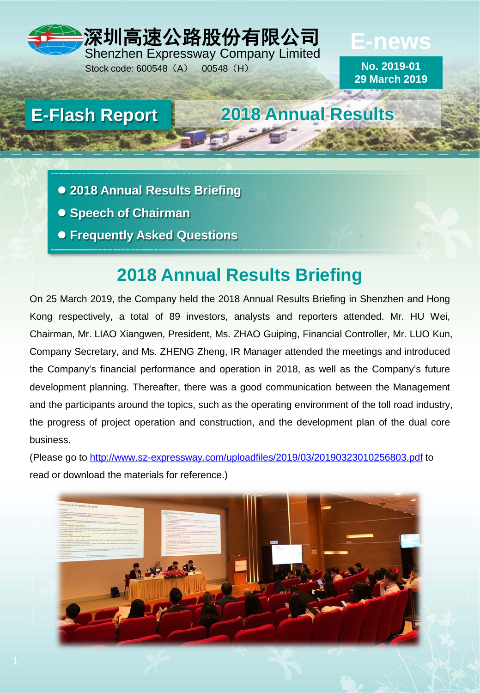## 深圳高速公路股份有限公司

Shenzhen Expressway Company Limited Stock code: 600548 (A) 00548 (H)

**No. 2019-01 29 March 2019**

**E-news**

## **E-Flash Report 2018 Annual Results**

- **2018 Annual Results Briefing**
- **Speech of Chairman**
- **Frequently Asked Questions**

## **2018 Annual Results Briefing**

On 25 March 2019, the Company held the 2018 Annual Results Briefing in Shenzhen and Hong Kong respectively, a total of 89 investors, analysts and reporters attended. Mr. HU Wei, Chairman, Mr. LIAO Xiangwen, President, Ms. ZHAO Guiping, Financial Controller, Mr. LUO Kun, Company Secretary, and Ms. ZHENG Zheng, IR Manager attended the meetings and introduced the Company's financial performance and operation in 2018, as well as the Company's future development planning. Thereafter, there was a good communication between the Management and the participants around the topics, such as the operating environment of the toll road industry, the progress of project operation and construction, and the development plan of the dual core business.

(Please go to<http://www.sz-expressway.com/uploadfiles/2019/03/20190323010256803.pdf> to read or download the materials for reference.)

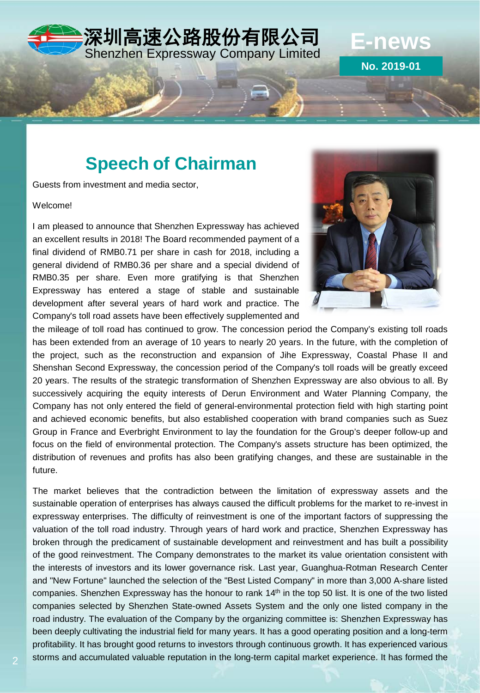# 深圳高速公路股份有限公司 Shenzhen Expressway Company Limited **E-news**

## **Speech of Chairman**

Guests from investment and media sector,

#### Welcome!

I am pleased to announce that Shenzhen Expressway has achieved an excellent results in 2018! The Board recommended payment of a final dividend of RMB0.71 per share in cash for 2018, including a general dividend of RMB0.36 per share and a special dividend of RMB0.35 per share. Even more gratifying is that Shenzhen Expressway has entered a stage of stable and sustainable development after several years of hard work and practice. The Company's toll road assets have been effectively supplemented and



**No. 2019-01**

the mileage of toll road has continued to grow. The concession period the Company's existing toll roads has been extended from an average of 10 years to nearly 20 years. In the future, with the completion of the project, such as the reconstruction and expansion of Jihe Expressway, Coastal Phase II and Shenshan Second Expressway, the concession period of the Company's toll roads will be greatly exceed 20 years. The results of the strategic transformation of Shenzhen Expressway are also obvious to all. By successively acquiring the equity interests of Derun Environment and Water Planning Company, the Company has not only entered the field of general-environmental protection field with high starting point and achieved economic benefits, but also established cooperation with brand companies such as Suez Group in France and Everbright Environment to lay the foundation for the Group's deeper follow-up and focus on the field of environmental protection. The Company's assets structure has been optimized, the distribution of revenues and profits has also been gratifying changes, and these are sustainable in the future.

The market believes that the contradiction between the limitation of expressway assets and the sustainable operation of enterprises has always caused the difficult problems for the market to re-invest in expressway enterprises. The difficulty of reinvestment is one of the important factors of suppressing the valuation of the toll road industry. Through years of hard work and practice, Shenzhen Expressway has broken through the predicament of sustainable development and reinvestment and has built a possibility of the good reinvestment. The Company demonstrates to the market its value orientation consistent with the interests of investors and its lower governance risk. Last year, Guanghua-Rotman Research Center and "New Fortune" launched the selection of the "Best Listed Company" in more than 3,000 A-share listed companies. Shenzhen Expressway has the honour to rank 14<sup>th</sup> in the top 50 list. It is one of the two listed companies selected by Shenzhen State-owned Assets System and the only one listed company in the road industry. The evaluation of the Company by the organizing committee is: Shenzhen Expressway has been deeply cultivating the industrial field for many years. It has a good operating position and a long-term profitability. It has brought good returns to investors through continuous growth. It has experienced various storms and accumulated valuable reputation in the long-term capital market experience. It has formed the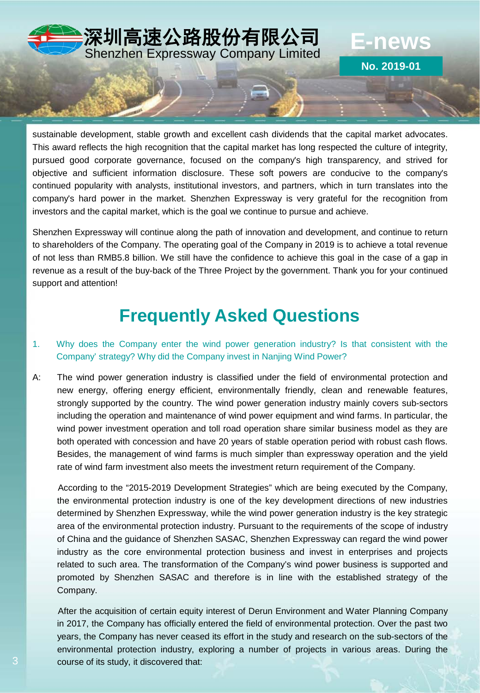

sustainable development, stable growth and excellent cash dividends that the capital market advocates. This award reflects the high recognition that the capital market has long respected the culture of integrity, pursued good corporate governance, focused on the company's high transparency, and strived for objective and sufficient information disclosure. These soft powers are conducive to the company's continued popularity with analysts, institutional investors, and partners, which in turn translates into the company's hard power in the market. Shenzhen Expressway is very grateful for the recognition from investors and the capital market, which is the goal we continue to pursue and achieve.

Shenzhen Expressway will continue along the path of innovation and development, and continue to return to shareholders of the Company. The operating goal of the Company in 2019 is to achieve a total revenue of not less than RMB5.8 billion. We still have the confidence to achieve this goal in the case of a gap in revenue as a result of the buy-back of the Three Project by the government. Thank you for your continued support and attention!

## **Frequently Asked Questions**

#### 1. Why does the Company enter the wind power generation industry? Is that consistent with the Company' strategy? Why did the Company invest in Nanjing Wind Power?

A: The wind power generation industry is classified under the field of environmental protection and new energy, offering energy efficient, environmentally friendly, clean and renewable features, strongly supported by the country. The wind power generation industry mainly covers sub-sectors including the operation and maintenance of wind power equipment and wind farms. In particular, the wind power investment operation and toll road operation share similar business model as they are both operated with concession and have 20 years of stable operation period with robust cash flows. Besides, the management of wind farms is much simpler than expressway operation and the yield rate of wind farm investment also meets the investment return requirement of the Company.

According to the "2015-2019 Development Strategies" which are being executed by the Company, the environmental protection industry is one of the key development directions of new industries determined by Shenzhen Expressway, while the wind power generation industry is the key strategic area of the environmental protection industry. Pursuant to the requirements of the scope of industry of China and the guidance of Shenzhen SASAC, Shenzhen Expressway can regard the wind power industry as the core environmental protection business and invest in enterprises and projects related to such area. The transformation of the Company's wind power business is supported and promoted by Shenzhen SASAC and therefore is in line with the established strategy of the Company.

After the acquisition of certain equity interest of Derun Environment and Water Planning Company in 2017, the Company has officially entered the field of environmental protection. Over the past two years, the Company has never ceased its effort in the study and research on the sub-sectors of the environmental protection industry, exploring a number of projects in various areas. During the course of its study, it discovered that: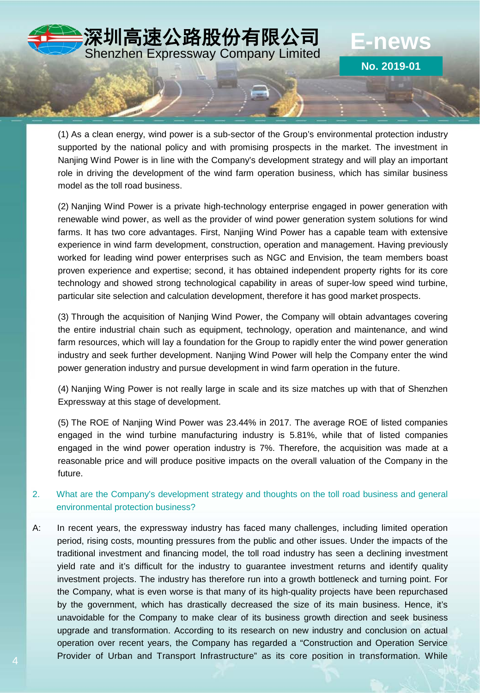

**No. 2019-01**

(1) As a clean energy, wind power is a sub-sector of the Group's environmental protection industry supported by the national policy and with promising prospects in the market. The investment in Nanjing Wind Power is in line with the Company's development strategy and will play an important role in driving the development of the wind farm operation business, which has similar business model as the toll road business.

(2) Nanjing Wind Power is a private high-technology enterprise engaged in power generation with renewable wind power, as well as the provider of wind power generation system solutions for wind farms. It has two core advantages. First, Nanjing Wind Power has a capable team with extensive experience in wind farm development, construction, operation and management. Having previously worked for leading wind power enterprises such as NGC and Envision, the team members boast proven experience and expertise; second, it has obtained independent property rights for its core technology and showed strong technological capability in areas of super-low speed wind turbine, particular site selection and calculation development, therefore it has good market prospects.

(3) Through the acquisition of Nanjing Wind Power, the Company will obtain advantages covering the entire industrial chain such as equipment, technology, operation and maintenance, and wind farm resources, which will lay a foundation for the Group to rapidly enter the wind power generation industry and seek further development. Nanjing Wind Power will help the Company enter the wind power generation industry and pursue development in wind farm operation in the future.

(4) Nanjing Wing Power is not really large in scale and its size matches up with that of Shenzhen Expressway at this stage of development.

(5) The ROE of Nanjing Wind Power was 23.44% in 2017. The average ROE of listed companies engaged in the wind turbine manufacturing industry is 5.81%, while that of listed companies engaged in the wind power operation industry is 7%. Therefore, the acquisition was made at a reasonable price and will produce positive impacts on the overall valuation of the Company in the future.

- 2. What are the Company's development strategy and thoughts on the toll road business and general environmental protection business?
- A: In recent years, the expressway industry has faced many challenges, including limited operation period, rising costs, mounting pressures from the public and other issues. Under the impacts of the traditional investment and financing model, the toll road industry has seen a declining investment yield rate and it's difficult for the industry to guarantee investment returns and identify quality investment projects. The industry has therefore run into a growth bottleneck and turning point. For the Company, what is even worse is that many of its high-quality projects have been repurchased by the government, which has drastically decreased the size of its main business. Hence, it's unavoidable for the Company to make clear of its business growth direction and seek business upgrade and transformation. According to its research on new industry and conclusion on actual operation over recent years, the Company has regarded a "Construction and Operation Service Provider of Urban and Transport Infrastructure" as its core position in transformation. While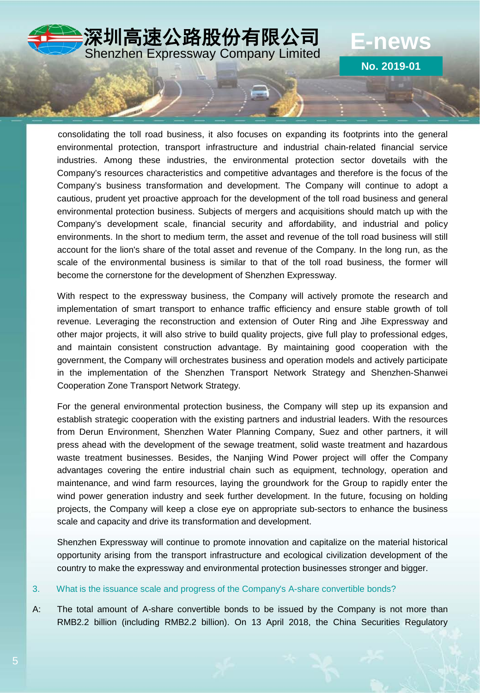

**No. 2019-01**

consolidating the toll road business, it also focuses on expanding its footprints into the general environmental protection, transport infrastructure and industrial chain-related financial service industries. Among these industries, the environmental protection sector dovetails with the Company's resources characteristics and competitive advantages and therefore is the focus of the Company's business transformation and development. The Company will continue to adopt a cautious, prudent yet proactive approach for the development of the toll road business and general environmental protection business. Subjects of mergers and acquisitions should match up with the Company's development scale, financial security and affordability, and industrial and policy environments. In the short to medium term, the asset and revenue of the toll road business will still account for the lion's share of the total asset and revenue of the Company. In the long run, as the scale of the environmental business is similar to that of the toll road business, the former will become the cornerstone for the development of Shenzhen Expressway.

With respect to the expressway business, the Company will actively promote the research and implementation of smart transport to enhance traffic efficiency and ensure stable growth of toll revenue. Leveraging the reconstruction and extension of Outer Ring and Jihe Expressway and other major projects, it will also strive to build quality projects, give full play to professional edges, and maintain consistent construction advantage. By maintaining good cooperation with the government, the Company will orchestrates business and operation models and actively participate in the implementation of the Shenzhen Transport Network Strategy and Shenzhen-Shanwei Cooperation Zone Transport Network Strategy.

For the general environmental protection business, the Company will step up its expansion and establish strategic cooperation with the existing partners and industrial leaders. With the resources from Derun Environment, Shenzhen Water Planning Company, Suez and other partners, it will press ahead with the development of the sewage treatment, solid waste treatment and hazardous waste treatment businesses. Besides, the Nanjing Wind Power project will offer the Company advantages covering the entire industrial chain such as equipment, technology, operation and maintenance, and wind farm resources, laying the groundwork for the Group to rapidly enter the wind power generation industry and seek further development. In the future, focusing on holding projects, the Company will keep a close eye on appropriate sub-sectors to enhance the business scale and capacity and drive its transformation and development.

Shenzhen Expressway will continue to promote innovation and capitalize on the material historical opportunity arising from the transport infrastructure and ecological civilization development of the country to make the expressway and environmental protection businesses stronger and bigger.

#### 3. What is the issuance scale and progress of the Company's A-share convertible bonds?

A: The total amount of A-share convertible bonds to be issued by the Company is not more than RMB2.2 billion (including RMB2.2 billion). On 13 April 2018, the China Securities Regulatory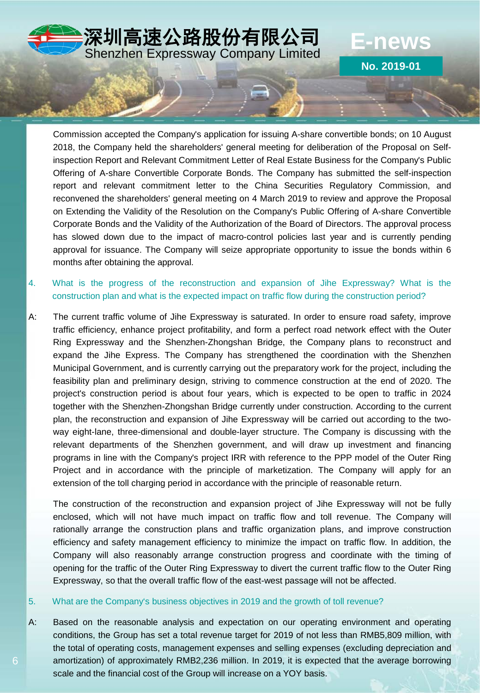

Commission accepted the Company's application for issuing A-share convertible bonds; on 10 August 2018, the Company held the shareholders' general meeting for deliberation of the Proposal on Selfinspection Report and Relevant Commitment Letter of Real Estate Business for the Company's Public Offering of A-share Convertible Corporate Bonds. The Company has submitted the self-inspection report and relevant commitment letter to the China Securities Regulatory Commission, and reconvened the shareholders' general meeting on 4 March 2019 to review and approve the Proposal on Extending the Validity of the Resolution on the Company's Public Offering of A-share Convertible Corporate Bonds and the Validity of the Authorization of the Board of Directors. The approval process has slowed down due to the impact of macro-control policies last year and is currently pending approval for issuance. The Company will seize appropriate opportunity to issue the bonds within 6 months after obtaining the approval.

- 4. What is the progress of the reconstruction and expansion of Jihe Expressway? What is the construction plan and what is the expected impact on traffic flow during the construction period?
- A: The current traffic volume of Jihe Expressway is saturated. In order to ensure road safety, improve traffic efficiency, enhance project profitability, and form a perfect road network effect with the Outer Ring Expressway and the Shenzhen-Zhongshan Bridge, the Company plans to reconstruct and expand the Jihe Express. The Company has strengthened the coordination with the Shenzhen Municipal Government, and is currently carrying out the preparatory work for the project, including the feasibility plan and preliminary design, striving to commence construction at the end of 2020. The project's construction period is about four years, which is expected to be open to traffic in 2024 together with the Shenzhen-Zhongshan Bridge currently under construction. According to the current plan, the reconstruction and expansion of Jihe Expressway will be carried out according to the twoway eight-lane, three-dimensional and double-layer structure. The Company is discussing with the relevant departments of the Shenzhen government, and will draw up investment and financing programs in line with the Company's project IRR with reference to the PPP model of the Outer Ring Project and in accordance with the principle of marketization. The Company will apply for an extension of the toll charging period in accordance with the principle of reasonable return.

The construction of the reconstruction and expansion project of Jihe Expressway will not be fully enclosed, which will not have much impact on traffic flow and toll revenue. The Company will rationally arrange the construction plans and traffic organization plans, and improve construction efficiency and safety management efficiency to minimize the impact on traffic flow. In addition, the Company will also reasonably arrange construction progress and coordinate with the timing of opening for the traffic of the Outer Ring Expressway to divert the current traffic flow to the Outer Ring Expressway, so that the overall traffic flow of the east-west passage will not be affected.

#### 5. What are the Company's business objectives in 2019 and the growth of toll revenue?

6

A: Based on the reasonable analysis and expectation on our operating environment and operating conditions, the Group has set a total revenue target for 2019 of not less than RMB5,809 million, with the total of operating costs, management expenses and selling expenses (excluding depreciation and amortization) of approximately RMB2,236 million. In 2019, it is expected that the average borrowing scale and the financial cost of the Group will increase on a YOY basis.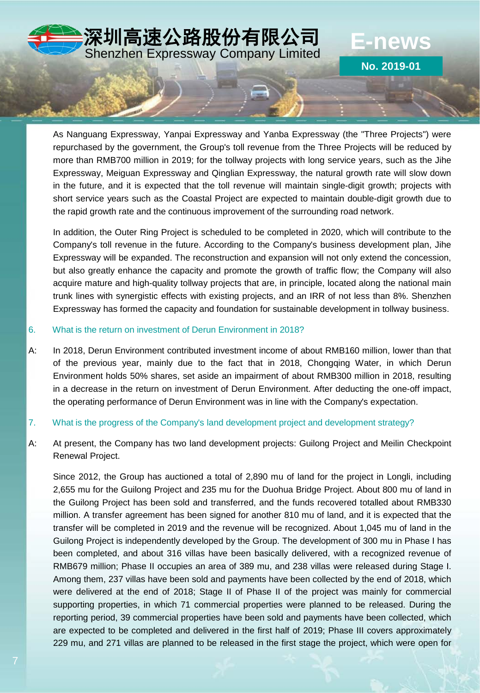

**No. 2019-01**

As Nanguang Expressway, Yanpai Expressway and Yanba Expressway (the "Three Projects") were repurchased by the government, the Group's toll revenue from the Three Projects will be reduced by more than RMB700 million in 2019; for the tollway projects with long service years, such as the Jihe Expressway, Meiguan Expressway and Qinglian Expressway, the natural growth rate will slow down in the future, and it is expected that the toll revenue will maintain single-digit growth; projects with short service years such as the Coastal Project are expected to maintain double-digit growth due to the rapid growth rate and the continuous improvement of the surrounding road network.

In addition, the Outer Ring Project is scheduled to be completed in 2020, which will contribute to the Company's toll revenue in the future. According to the Company's business development plan, Jihe Expressway will be expanded. The reconstruction and expansion will not only extend the concession, but also greatly enhance the capacity and promote the growth of traffic flow; the Company will also acquire mature and high-quality tollway projects that are, in principle, located along the national main trunk lines with synergistic effects with existing projects, and an IRR of not less than 8%. Shenzhen Expressway has formed the capacity and foundation for sustainable development in tollway business.

#### 6. What is the return on investment of Derun Environment in 2018?

A: In 2018, Derun Environment contributed investment income of about RMB160 million, lower than that of the previous year, mainly due to the fact that in 2018, Chongqing Water, in which Derun Environment holds 50% shares, set aside an impairment of about RMB300 million in 2018, resulting in a decrease in the return on investment of Derun Environment. After deducting the one-off impact, the operating performance of Derun Environment was in line with the Company's expectation.

#### 7. What is the progress of the Company's land development project and development strategy?

A: At present, the Company has two land development projects: Guilong Project and Meilin Checkpoint Renewal Project.

Since 2012, the Group has auctioned a total of 2,890 mu of land for the project in Longli, including 2,655 mu for the Guilong Project and 235 mu for the Duohua Bridge Project. About 800 mu of land in the Guilong Project has been sold and transferred, and the funds recovered totalled about RMB330 million. A transfer agreement has been signed for another 810 mu of land, and it is expected that the transfer will be completed in 2019 and the revenue will be recognized. About 1,045 mu of land in the Guilong Project is independently developed by the Group. The development of 300 mu in Phase I has been completed, and about 316 villas have been basically delivered, with a recognized revenue of RMB679 million; Phase II occupies an area of 389 mu, and 238 villas were released during Stage I. Among them, 237 villas have been sold and payments have been collected by the end of 2018, which were delivered at the end of 2018; Stage II of Phase II of the project was mainly for commercial supporting properties, in which 71 commercial properties were planned to be released. During the reporting period, 39 commercial properties have been sold and payments have been collected, which are expected to be completed and delivered in the first half of 2019; Phase III covers approximately 229 mu, and 271 villas are planned to be released in the first stage the project, which were open for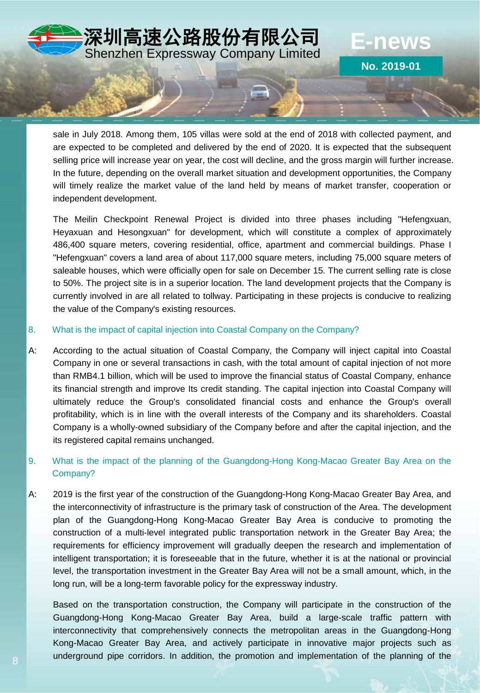

sale in July 2018. Among them, 105 villas were sold at the end of 2018 with collected payment, and are expected to be completed and delivered by the end of 2020. It is expected that the subsequent selling price will increase year on year, the cost will decline, and the gross margin will further increase. In the future, depending on the overall market situation and development opportunities, the Company will timely realize the market value of the land held by means of market transfer, cooperation or independent development.

**No. 2019-01**

The Meilin Checkpoint Renewal Project is divided into three phases including "Hefengxuan, Heyaxuan and Hesongxuan" for development, which will constitute a complex of approximately 486,400 square meters, covering residential, office, apartment and commercial buildings. Phase I "Hefengxuan" covers a land area of about 117,000 square meters, including 75,000 square meters of saleable houses, which were officially open for sale on December 15. The current selling rate is close to 50%. The project site is in a superior location. The land development projects that the Company is currently involved in are all related to tollway. Participating in these projects is conducive to realizing the value of the Company's existing resources.

#### 8. What is the impact of capital injection into Coastal Company on the Company?

A: According to the actual situation of Coastal Company, the Company will inject capital into Coastal Company in one or several transactions in cash, with the total amount of capital injection of not more than RMB4.1 billion, which will be used to improve the financial status of Coastal Company, enhance its financial strength and improve Its credit standing. The capital injection into Coastal Company will ultimately reduce the Group's consolidated financial costs and enhance the Group's overall profitability, which is in line with the overall interests of the Company and its shareholders. Coastal Company is a wholly-owned subsidiary of the Company before and after the capital injection, and the its registered capital remains unchanged.

### 9. What is the impact of the planning of the Guangdong-Hong Kong-Macao Greater Bay Area on the Company?

A: 2019 is the first year of the construction of the Guangdong-Hong Kong-Macao Greater Bay Area, and the interconnectivity of infrastructure is the primary task of construction of the Area. The development plan of the Guangdong-Hong Kong-Macao Greater Bay Area is conducive to promoting the construction of a multi-level integrated public transportation network in the Greater Bay Area; the requirements for efficiency improvement will gradually deepen the research and implementation of intelligent transportation; it is foreseeable that in the future, whether it is at the national or provincial level, the transportation investment in the Greater Bay Area will not be a small amount, which, in the long run, will be a long-term favorable policy for the expressway industry.

Based on the transportation construction, the Company will participate in the construction of the Guangdong-Hong Kong-Macao Greater Bay Area, build a large-scale traffic pattern with interconnectivity that comprehensively connects the metropolitan areas in the Guangdong-Hong Kong-Macao Greater Bay Area, and actively participate in innovative major projects such as underground pipe corridors. In addition, the promotion and implementation of the planning of the